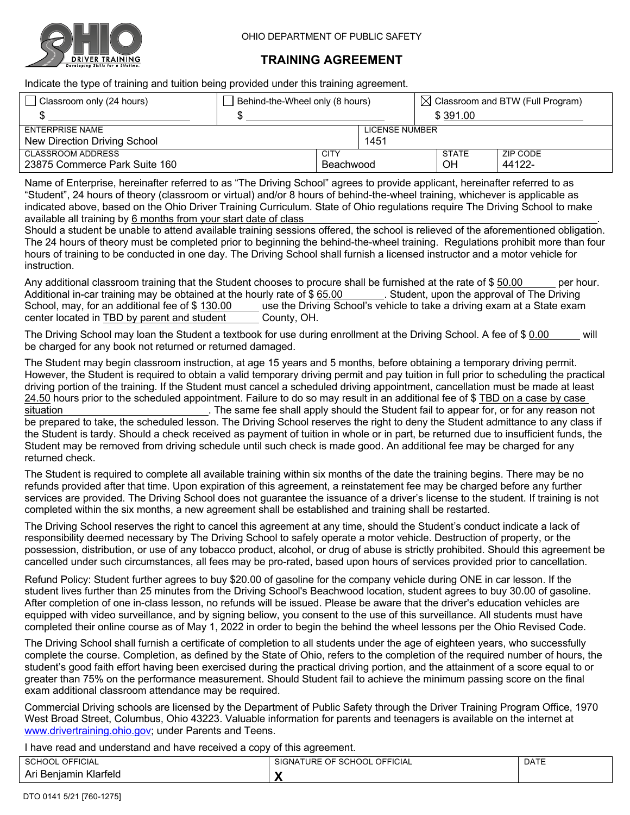

## **TRAINING AGREEMENT**

Indicate the type of training and tuition being provided under this training agreement.

| Classroom only (24 hours)     | Behind-the-Wheel only (8 hours) |             | $\boxtimes$ Classroom and BTW (Full Program) |           |          |          |  |
|-------------------------------|---------------------------------|-------------|----------------------------------------------|-----------|----------|----------|--|
|                               |                                 |             |                                              |           | \$391.00 |          |  |
| <b>ENTERPRISE NAME</b>        |                                 |             | LICENSE NUMBER                               |           |          |          |  |
| New Direction Driving School  |                                 |             | 1451                                         |           |          |          |  |
| <b>CLASSROOM ADDRESS</b>      |                                 | <b>CITY</b> |                                              | STATE     |          | ZIP CODE |  |
| 23875 Commerce Park Suite 160 |                                 | Beachwood   |                                              | <b>OH</b> |          | 44122-   |  |

Name of Enterprise, hereinafter referred to as "The Driving School" agrees to provide applicant, hereinafter referred to as "Student", 24 hours of theory (classroom or virtual) and/or 8 hours of behind-the-wheel training, whichever is applicable as indicated above, based on the Ohio Driver Training Curriculum. State of Ohio regulations require The Driving School to make available all training by 6 months from your start date of class .

Should a student be unable to attend available training sessions offered, the school is relieved of the aforementioned obligation. The 24 hours of theory must be completed prior to beginning the behind-the-wheel training. Regulations prohibit more than four hours of training to be conducted in one day. The Driving School shall furnish a licensed instructor and a motor vehicle for instruction.

Any additional classroom training that the Student chooses to procure shall be furnished at the rate of \$50.00 per hour. Additional in-car training may be obtained at the hourly rate of \$65.00 . Student, upon the approval of The Driving School, may, for an additional fee of \$130.00 use the Driving School's vehicle to take a driving exam at a State exam center located in TBD by parent and student County, OH.

The Driving School may loan the Student a textbook for use during enrollment at the Driving School. A fee of \$ 0.00 will be charged for any book not returned or returned damaged.

The Student may begin classroom instruction, at age 15 years and 5 months, before obtaining a temporary driving permit. However, the Student is required to obtain a valid temporary driving permit and pay tuition in full prior to scheduling the practical driving portion of the training. If the Student must cancel a scheduled driving appointment, cancellation must be made at least 24.50 hours prior to the scheduled appointment. Failure to do so may result in an additional fee of \$ TBD on a case by case situation . The same fee shall apply should the Student fail to appear for, or for any reason not

be prepared to take, the scheduled lesson. The Driving School reserves the right to deny the Student admittance to any class if the Student is tardy. Should a check received as payment of tuition in whole or in part, be returned due to insufficient funds, the Student may be removed from driving schedule until such check is made good. An additional fee may be charged for any returned check.

The Student is required to complete all available training within six months of the date the training begins. There may be no refunds provided after that time. Upon expiration of this agreement, a reinstatement fee may be charged before any further services are provided. The Driving School does not guarantee the issuance of a driver's license to the student. If training is not completed within the six months, a new agreement shall be established and training shall be restarted.

The Driving School reserves the right to cancel this agreement at any time, should the Student's conduct indicate a lack of responsibility deemed necessary by The Driving School to safely operate a motor vehicle. Destruction of property, or the possession, distribution, or use of any tobacco product, alcohol, or drug of abuse is strictly prohibited. Should this agreement be cancelled under such circumstances, all fees may be pro-rated, based upon hours of services provided prior to cancellation.

Refund Policy: Student further agrees to buy \$20.00 of gasoline for the company vehicle during ONE in car lesson. If the student lives further than 25 minutes from the Driving School's Beachwood location, student agrees to buy 30.00 of gasoline. After completion of one in-class lesson, no refunds will be issued. Please be aware that the driver's education vehicles are equipped with video surveillance, and by signing beliow, you consent to the use of this surveillance. All students must have completed their online course as of May 1, 2022 in order to begin the behind the wheel lessons per the Ohio Revised Code.

The Driving School shall furnish a certificate of completion to all students under the age of eighteen years, who successfully complete the course. Completion, as defined by the State of Ohio, refers to the completion of the required number of hours, the student's good faith effort having been exercised during the practical driving portion, and the attainment of a score equal to or greater than 75% on the performance measurement. Should Student fail to achieve the minimum passing score on the final exam additional classroom attendance may be required.

Commercial Driving schools are licensed by the Department of Public Safety through the Driver Training Program Office, 1970 West Broad Street, Columbus, Ohio 43223. Valuable information for parents and teenagers is available on the internet at www.drivertraining.ohio.gov; under Parents and Teens.

I have read and understand and have received a copy of this agreement.

|                              | <b>OFFICIAL</b><br>SCHOOL<br>⊣ن | <b>DATE</b> |
|------------------------------|---------------------------------|-------------|
| ılamır<br>Klarteld<br>≾enıan |                                 |             |